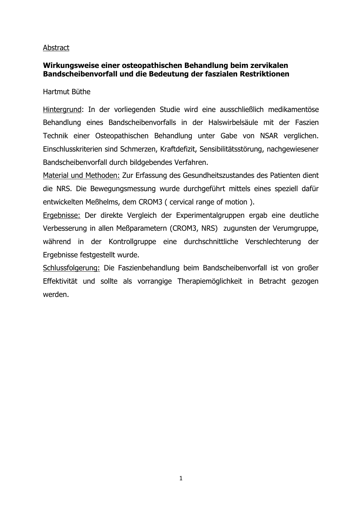### Abstract

### **Wirkungsweise einer osteopathischen Behandlung beim zervikalen Bandscheibenvorfall und die Bedeutung der faszialen Restriktionen**

Hartmut Büthe

Hintergrund: In der vorliegenden Studie wird eine ausschließlich medikamentöse Behandlung eines Bandscheibenvorfalls in der Halswirbelsäule mit der Faszien Technik einer Osteopathischen Behandlung unter Gabe von NSAR verglichen. Einschlusskriterien sind Schmerzen, Kraftdefizit, Sensibilitätsstörung, nachgewiesener Bandscheibenvorfall durch bildgebendes Verfahren.

Material und Methoden: Zur Erfassung des Gesundheitszustandes des Patienten dient die NRS. Die Bewegungsmessung wurde durchgeführt mittels eines speziell dafür entwickelten Meßhelms, dem CROM3 ( cervical range of motion ).

Ergebnisse: Der direkte Vergleich der Experimentalgruppen ergab eine deutliche Verbesserung in allen Meßparametern (CROM3, NRS) zugunsten der Verumgruppe, während in der Kontrollgruppe eine durchschnittliche Verschlechterung der Ergebnisse festgestellt wurde.

Schlussfolgerung: Die Faszienbehandlung beim Bandscheibenvorfall ist von großer Effektivität und sollte als vorrangige Therapiemöglichkeit in Betracht gezogen werden.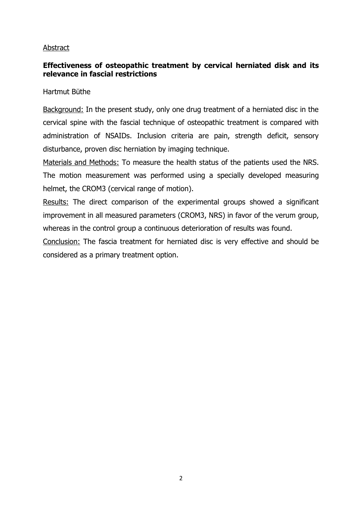#### Abstract

# **Effectiveness of osteopathic treatment by cervical herniated disk and its relevance in fascial restrictions**

Hartmut Büthe

Background: In the present study, only one drug treatment of a herniated disc in the cervical spine with the fascial technique of osteopathic treatment is compared with administration of NSAIDs. Inclusion criteria are pain, strength deficit, sensory disturbance, proven disc herniation by imaging technique.

Materials and Methods: To measure the health status of the patients used the NRS. The motion measurement was performed using a specially developed measuring helmet, the CROM3 (cervical range of motion).

Results: The direct comparison of the experimental groups showed a significant improvement in all measured parameters (CROM3, NRS) in favor of the verum group, whereas in the control group a continuous deterioration of results was found.

Conclusion: The fascia treatment for herniated disc is very effective and should be considered as a primary treatment option.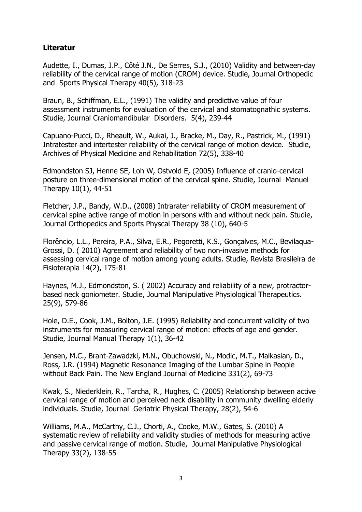# **Literatur**

Audette, I., Dumas, J.P., Côté J.N., De Serres, S.J., (2010) [Validity and between-day](http://www.mt-dok.de/mt-dok/content1.cfm?contentid=1004&showonly=ja&nID=1866&pubmed=20436238&autor=AudetteI,DumasJP,C%C3%B4t%C3%A9JN,De%20SerresSJ,)  [reliability of the cervical range of motion \(CROM\) device.](http://www.mt-dok.de/mt-dok/content1.cfm?contentid=1004&showonly=ja&nID=1866&pubmed=20436238&autor=AudetteI,DumasJP,C%C3%B4t%C3%A9JN,De%20SerresSJ,) Studie, Journal Orthopedic and Sports Physical Therapy 40(5), 318-23

Braun, B., Schiffman, E.L., (1991) [The validity and predictive value of four](http://www.mt-dok.de/mt-dok/content1.cfm?contentid=1004&showonly=ja&nID=1591&pubmed=1814965&autor=BraunB,SchiffmanEL,)  assessment instruments [for evaluation of the cervical and stomatognathic systems.](http://www.mt-dok.de/mt-dok/content1.cfm?contentid=1004&showonly=ja&nID=1591&pubmed=1814965&autor=BraunB,SchiffmanEL,) Studie, Journal Craniomandibular Disorders. 5(4), 239-44

Capuano-Pucci, D., Rheault, W., Aukai, J., Bracke, M., Day, R., Pastrick, M., (1991) [Intratester and intertester reliability of the cervical range of motion device.](http://www.mt-dok.de/mt-dok/content1.cfm?contentid=1004&showonly=ja&nID=187&pubmed=2009054&autor=Capuano-PucciD,RheaultW,AukaiJ,BrackeM,DayR,PastrickM,) Studie, Archives of Physical Medicine and Rehabilitation 72(5), 338-40

Edmondston SJ, Henne SE, Loh W, Ostvold E, (2005) [Influence of cranio-cervical](http://www.mt-dok.de/mt-dok/content1.cfm?contentid=1004&showonly=ja&nID=751&pubmed=15681268&autor=EdmondstonSJ,HenneSE,LohW,OstvoldE,)  [posture on three-dimensional motion of the cervical spine.](http://www.mt-dok.de/mt-dok/content1.cfm?contentid=1004&showonly=ja&nID=751&pubmed=15681268&autor=EdmondstonSJ,HenneSE,LohW,OstvoldE,) Studie, Journal Manuel Therapy 10(1), 44-51

Fletcher, J.P., Bandy, W.D., (2008) [Intrarater reliability of CROM measurement of](http://www.mt-dok.de/mt-dok/content1.cfm?contentid=1004&showonly=ja&nID=1875&pubmed=18827326&autor=FletcherJP,BandyWD,)  [cervical spine active range of motion in persons with and without neck pain.](http://www.mt-dok.de/mt-dok/content1.cfm?contentid=1004&showonly=ja&nID=1875&pubmed=18827326&autor=FletcherJP,BandyWD,) Studie, Journal Orthopedics and Sports Physcal Therapy 38 (10), 640-5

Florêncio, L.L., Pereira, P.A., Silva, E.R., Pegoretti, K.S., Gonçalves, M.C., Bevilaqua-Grossi, D. ( 2010) [Agreement and reliability of two non-invasive methods for](http://www.mt-dok.de/mt-dok/content1.cfm?contentid=1004&showonly=ja&nID=1873&pubmed=20464161&autor=Flor%C3%AAncioLL,PereiraPA,SilvaER,PegorettiKS,Gon%C3%A7alvesMC,Bevilaqua-GrossiD,)  [assessing cervical range of motion among young adults.](http://www.mt-dok.de/mt-dok/content1.cfm?contentid=1004&showonly=ja&nID=1873&pubmed=20464161&autor=Flor%C3%AAncioLL,PereiraPA,SilvaER,PegorettiKS,Gon%C3%A7alvesMC,Bevilaqua-GrossiD,) Studie, Revista Brasileira de Fisioterapia 14(2), 175-81

Haynes, M.J., Edmondston, S. ( 2002) [Accuracy and reliability of a new, protractor](http://www.mt-dok.de/mt-dok/content1.cfm?contentid=1004&showonly=ja&nID=750&pubmed=12466776&autor=HaynesMJ,EdmondstonS,)[based neck goniometer.](http://www.mt-dok.de/mt-dok/content1.cfm?contentid=1004&showonly=ja&nID=750&pubmed=12466776&autor=HaynesMJ,EdmondstonS,) Studie, Journal Manipulative Physiological Therapeutics. 25(9), 579-86

Hole, D.E., Cook, J.M., Bolton, J.E. (1995) [Reliability and concurrent validity of two](http://www.mt-dok.de/mt-dok/content1.cfm?contentid=1004&showonly=ja&nID=1870&pubmed=11327793&autor=HoleDE,CookJM,BoltonJE,)  [instruments for measuring cervical range of motion: effects of age and gender.](http://www.mt-dok.de/mt-dok/content1.cfm?contentid=1004&showonly=ja&nID=1870&pubmed=11327793&autor=HoleDE,CookJM,BoltonJE,) Studie, Journal Manual Therapy 1(1), 36-42

Jensen, M.C., Brant-Zawadzki, M.N., Obuchowski, N., Modic, M.T., Malkasian, D., Ross, J.R. (1994) Magnetic Resonance Imaging of the Lumbar Spine in People without Back Pain. The New England Journal of Medicine 331(2), 69-73

Kwak, S., Niederklein, R., Tarcha, R., Hughes, C. (2005) [Relationship between active](http://www.mt-dok.de/mt-dok/content1.cfm?contentid=1004&showonly=ja&nID=1593&pubmed=16236229&autor=KwakS,NiederkleinR,TarchaR,HughesC,)  [cervical range of motion and perceived neck disability in community dwelling elderly](http://www.mt-dok.de/mt-dok/content1.cfm?contentid=1004&showonly=ja&nID=1593&pubmed=16236229&autor=KwakS,NiederkleinR,TarchaR,HughesC,)  [individuals.](http://www.mt-dok.de/mt-dok/content1.cfm?contentid=1004&showonly=ja&nID=1593&pubmed=16236229&autor=KwakS,NiederkleinR,TarchaR,HughesC,) Studie, Journal Geriatric Physical Therapy, 28(2), 54-6

Williams, M.A., McCarthy, C.J., Chorti, A., Cooke, M.W., Gates, S. (2010) [A](http://www.mt-dok.de/mt-dok/content1.cfm?contentid=1004&showonly=ja&nID=1867&pubmed=20170780&autor=WilliamsMA,McCarthyCJ,ChortiA,CookeMW,GatesS,)  [systematic review of reliability and validity studies of methods for measuring active](http://www.mt-dok.de/mt-dok/content1.cfm?contentid=1004&showonly=ja&nID=1867&pubmed=20170780&autor=WilliamsMA,McCarthyCJ,ChortiA,CookeMW,GatesS,)  [and passive cervical range of motion.](http://www.mt-dok.de/mt-dok/content1.cfm?contentid=1004&showonly=ja&nID=1867&pubmed=20170780&autor=WilliamsMA,McCarthyCJ,ChortiA,CookeMW,GatesS,) Studie, Journal Manipulative Physiological Therapy 33(2), 138-55